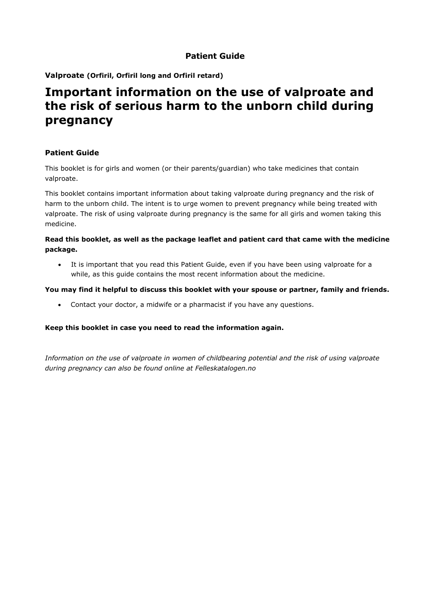# **Patient Guide**

**Valproate (Orfiril, Orfiril long and Orfiril retard)**

# **Important information on the use of valproate and the risk of serious harm to the unborn child during pregnancy**

# **Patient Guide**

This booklet is for girls and women (or their parents/guardian) who take medicines that contain valproate.

This booklet contains important information about taking valproate during pregnancy and the risk of harm to the unborn child. The intent is to urge women to prevent pregnancy while being treated with valproate. The risk of using valproate during pregnancy is the same for all girls and women taking this medicine.

### **Read this booklet, as well as the package leaflet and patient card that came with the medicine package.**

• It is important that you read this Patient Guide, even if you have been using valproate for a while, as this guide contains the most recent information about the medicine.

### **You may find it helpful to discuss this booklet with your spouse or partner, family and friends.**

• Contact your doctor, a midwife or a pharmacist if you have any questions.

### **Keep this booklet in case you need to read the information again.**

*Information on the use of valproate in women of childbearing potential and the risk of using valproate during pregnancy can also be found online at Felleskatalogen.no*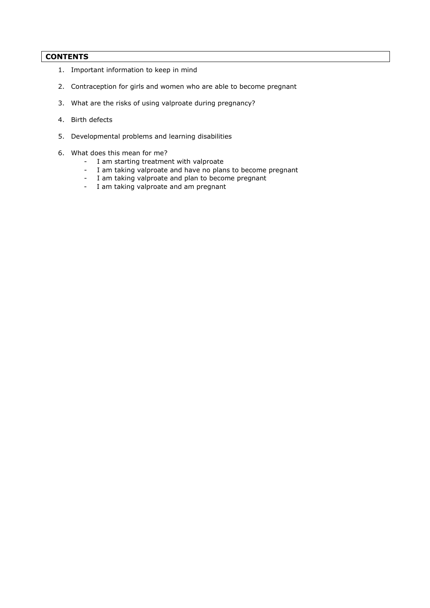### **CONTENTS**

- 1. Important information to keep in mind
- 2. Contraception for girls and women who are able to become pregnant
- 3. What are the risks of using valproate during pregnancy?
- 4. Birth defects
- 5. Developmental problems and learning disabilities
- 6. What does this mean for me?
	- I am starting treatment with valproate
	- I am taking valproate and have no plans to become pregnant
	- I am taking valproate and plan to become pregnant
	- I am taking valproate and am pregnant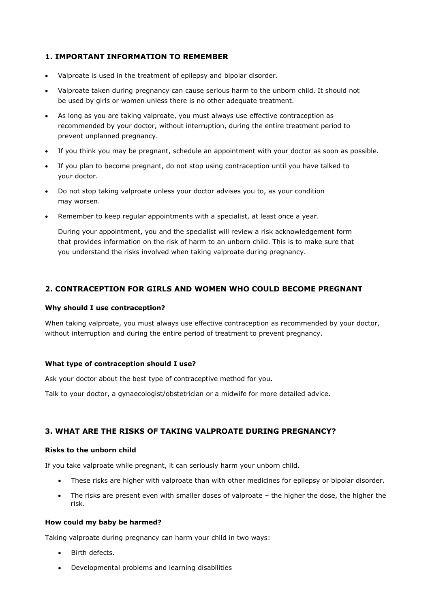# **1. IMPORTANT INFORMATION TO REMEMBER**

- Valproate is used in the treatment of epilepsy and bipolar disorder.
- Valproate taken during pregnancy can cause serious harm to the unborn child. It should not be used by girls or women unless there is no other adequate treatment.
- As long as you are taking valproate, you must always use effective contraception as recommended by your doctor, without interruption, during the entire treatment period to prevent unplanned pregnancy.
- If you think you may be pregnant, schedule an appointment with your doctor as soon as possible.
- If you plan to become pregnant, do not stop using contraception until you have talked to your doctor.
- Do not stop taking valproate unless your doctor advises you to, as your condition may worsen.
- Remember to keep regular appointments with a specialist, at least once a year.

During your appointment, you and the specialist will review a risk acknowledgement form that provides information on the risk of harm to an unborn child. This is to make sure that you understand the risks involved when taking valproate during pregnancy.

# **2. CONTRACEPTION FOR GIRLS AND WOMEN WHO COULD BECOME PREGNANT**

#### **Why should I use contraception?**

When taking valproate, you must always use effective contraception as recommended by your doctor, without interruption and during the entire period of treatment to prevent pregnancy.

### **What type of contraception should I use?**

Ask your doctor about the best type of contraceptive method for you.

Talk to your doctor, a gynaecologist/obstetrician or a midwife for more detailed advice.

# **3. WHAT ARE THE RISKS OF TAKING VALPROATE DURING PREGNANCY?**

#### **Risks to the unborn child**

If you take valproate while pregnant, it can seriously harm your unborn child.

- These risks are higher with valproate than with other medicines for epilepsy or bipolar disorder.
- The risks are present even with smaller doses of valproate the higher the dose, the higher the risk.

### **How could my baby be harmed?**

Taking valproate during pregnancy can harm your child in two ways:

- Birth defects.
- Developmental problems and learning disabilities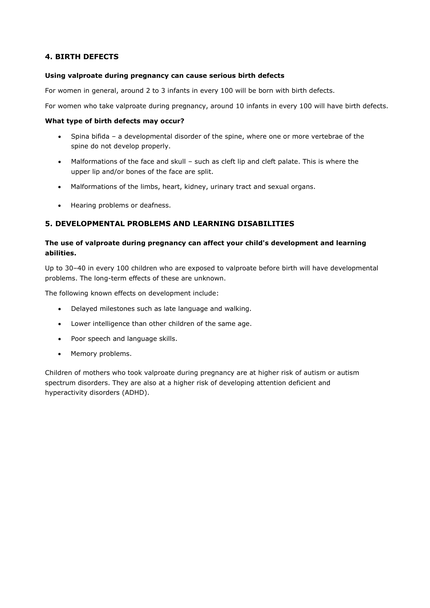# **4. BIRTH DEFECTS**

#### **Using valproate during pregnancy can cause serious birth defects**

For women in general, around 2 to 3 infants in every 100 will be born with birth defects.

For women who take valproate during pregnancy, around 10 infants in every 100 will have birth defects.

#### **What type of birth defects may occur?**

- Spina bifida a developmental disorder of the spine, where one or more vertebrae of the spine do not develop properly.
- Malformations of the face and skull such as cleft lip and cleft palate. This is where the upper lip and/or bones of the face are split.
- Malformations of the limbs, heart, kidney, urinary tract and sexual organs.
- Hearing problems or deafness.

### **5. DEVELOPMENTAL PROBLEMS AND LEARNING DISABILITIES**

### **The use of valproate during pregnancy can affect your child's development and learning abilities.**

Up to 30–40 in every 100 children who are exposed to valproate before birth will have developmental problems. The long-term effects of these are unknown.

The following known effects on development include:

- Delayed milestones such as late language and walking.
- Lower intelligence than other children of the same age.
- Poor speech and language skills.
- Memory problems.

Children of mothers who took valproate during pregnancy are at higher risk of autism or autism spectrum disorders. They are also at a higher risk of developing attention deficient and hyperactivity disorders (ADHD).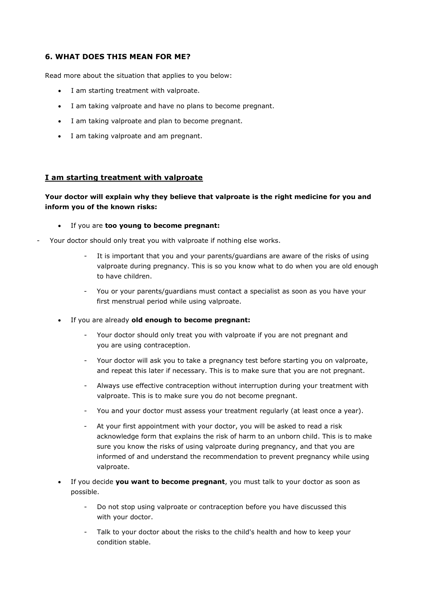### **6. WHAT DOES THIS MEAN FOR ME?**

Read more about the situation that applies to you below:

- I am starting treatment with valproate.
- I am taking valproate and have no plans to become pregnant.
- I am taking valproate and plan to become pregnant.
- I am taking valproate and am pregnant.

#### **I am starting treatment with valproate**

### **Your doctor will explain why they believe that valproate is the right medicine for you and inform you of the known risks:**

- If you are **too young to become pregnant:**
- Your doctor should only treat you with valproate if nothing else works.
	- It is important that you and your parents/guardians are aware of the risks of using valproate during pregnancy. This is so you know what to do when you are old enough to have children.
	- You or your parents/guardians must contact a specialist as soon as you have your first menstrual period while using valproate.
	- If you are already **old enough to become pregnant:**
		- Your doctor should only treat you with valproate if you are not pregnant and you are using contraception.
		- Your doctor will ask you to take a pregnancy test before starting you on valproate, and repeat this later if necessary. This is to make sure that you are not pregnant.
		- Always use effective contraception without interruption during your treatment with valproate. This is to make sure you do not become pregnant.
		- You and your doctor must assess your treatment regularly (at least once a year).
		- At your first appointment with your doctor, you will be asked to read a risk acknowledge form that explains the risk of harm to an unborn child. This is to make sure you know the risks of using valproate during pregnancy, and that you are informed of and understand the recommendation to prevent pregnancy while using valproate.
	- If you decide **you want to become pregnant**, you must talk to your doctor as soon as possible.
		- Do not stop using valproate or contraception before you have discussed this with your doctor.
		- Talk to your doctor about the risks to the child's health and how to keep your condition stable.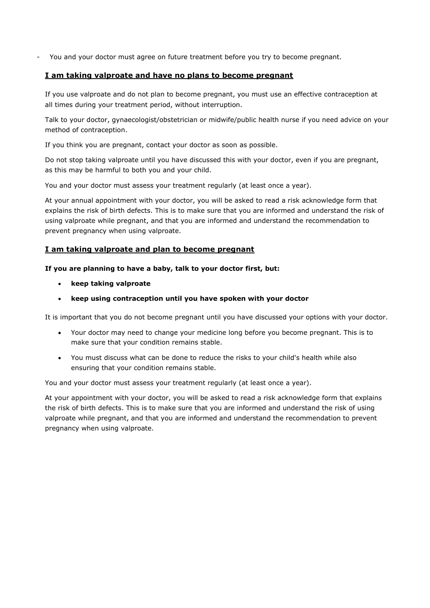You and your doctor must agree on future treatment before you try to become pregnant.

### **I am taking valproate and have no plans to become pregnant**

If you use valproate and do not plan to become pregnant, you must use an effective contraception at all times during your treatment period, without interruption.

Talk to your doctor, gynaecologist/obstetrician or midwife/public health nurse if you need advice on your method of contraception.

If you think you are pregnant, contact your doctor as soon as possible.

Do not stop taking valproate until you have discussed this with your doctor, even if you are pregnant, as this may be harmful to both you and your child.

You and your doctor must assess your treatment regularly (at least once a year).

At your annual appointment with your doctor, you will be asked to read a risk acknowledge form that explains the risk of birth defects. This is to make sure that you are informed and understand the risk of using valproate while pregnant, and that you are informed and understand the recommendation to prevent pregnancy when using valproate.

### **I am taking valproate and plan to become pregnant**

#### **If you are planning to have a baby, talk to your doctor first, but:**

- **keep taking valproate**
- **keep using contraception until you have spoken with your doctor**

It is important that you do not become pregnant until you have discussed your options with your doctor.

- Your doctor may need to change your medicine long before you become pregnant. This is to make sure that your condition remains stable.
- You must discuss what can be done to reduce the risks to your child's health while also ensuring that your condition remains stable.

You and your doctor must assess your treatment regularly (at least once a year).

At your appointment with your doctor, you will be asked to read a risk acknowledge form that explains the risk of birth defects. This is to make sure that you are informed and understand the risk of using valproate while pregnant, and that you are informed and understand the recommendation to prevent pregnancy when using valproate.